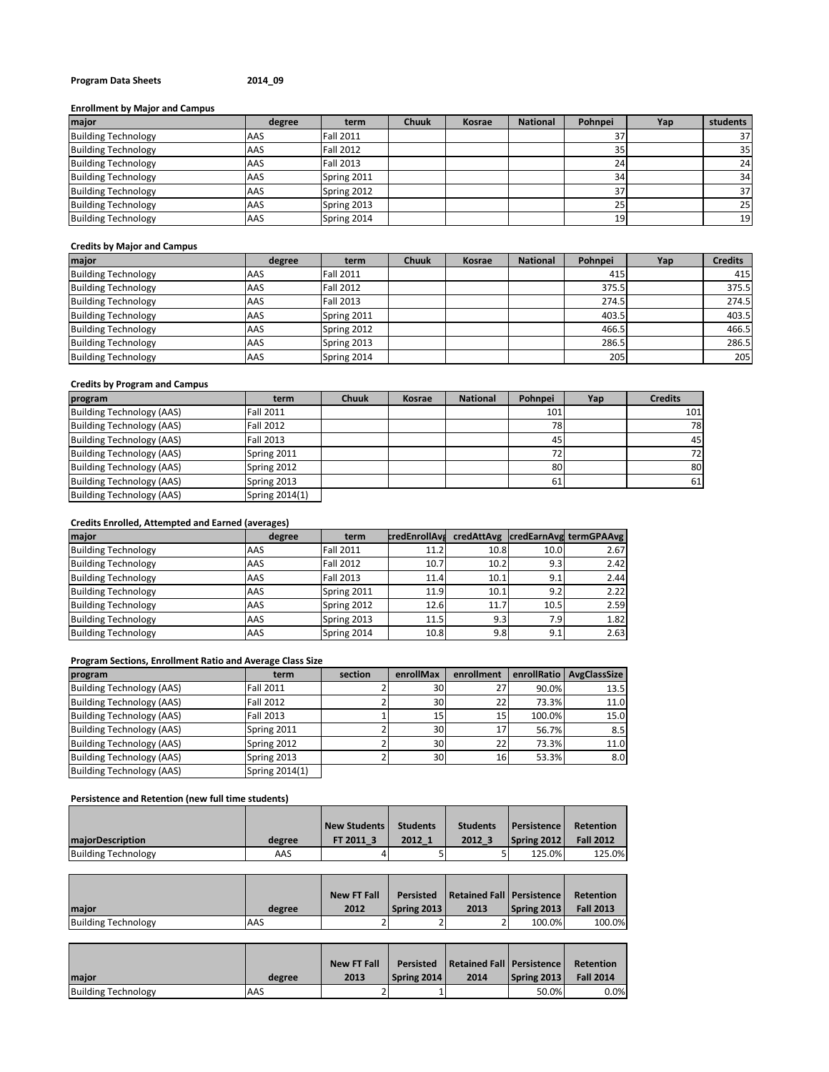# **Program Data Sheets 2014\_09**

# **Enrollment by Major and Campus**

| major                      | degree | term             | <b>Chuuk</b> | Kosrae | <b>National</b> | Pohnpei | Yap | students |
|----------------------------|--------|------------------|--------------|--------|-----------------|---------|-----|----------|
| <b>Building Technology</b> | AAS    | <b>Fall 2011</b> |              |        |                 | 37      |     | 37       |
| <b>Building Technology</b> | AAS    | <b>Fall 2012</b> |              |        |                 | 35      |     | 35       |
| <b>Building Technology</b> | AAS    | <b>Fall 2013</b> |              |        |                 | 24      |     | 24       |
| <b>Building Technology</b> | AAS    | Spring 2011      |              |        |                 | 34      |     | 34       |
| <b>Building Technology</b> | AAS    | Spring 2012      |              |        |                 | 37      |     | 37       |
| <b>Building Technology</b> | AAS    | Spring 2013      |              |        |                 | 25      |     | 25       |
| <b>Building Technology</b> | AAS    | Spring 2014      |              |        |                 | 19      |     | 19       |

### **Credits by Major and Campus**

| major                      | degree | term             | <b>Chuuk</b> | Kosrae | <b>National</b> | Pohnpei | Yap | <b>Credits</b> |
|----------------------------|--------|------------------|--------------|--------|-----------------|---------|-----|----------------|
| <b>Building Technology</b> | AAS    | <b>Fall 2011</b> |              |        |                 | 415     |     | 415            |
| <b>Building Technology</b> | AAS    | <b>Fall 2012</b> |              |        |                 | 375.5   |     | 375.5          |
| <b>Building Technology</b> | AAS    | <b>Fall 2013</b> |              |        |                 | 274.5   |     | 274.5          |
| <b>Building Technology</b> | AAS    | Spring 2011      |              |        |                 | 403.5   |     | 403.5          |
| <b>Building Technology</b> | AAS    | Spring 2012      |              |        |                 | 466.5   |     | 466.5          |
| <b>Building Technology</b> | AAS    | Spring 2013      |              |        |                 | 286.5   |     | 286.5          |
| <b>Building Technology</b> | AAS    | Spring 2014      |              |        |                 | 205     |     | 205            |

# **Credits by Program and Campus**

| program                          | term             | <b>Chuuk</b> | Kosrae | <b>National</b> | Pohnpei         | Yap | <b>Credits</b> |
|----------------------------------|------------------|--------------|--------|-----------------|-----------------|-----|----------------|
| <b>Building Technology (AAS)</b> | <b>Fall 2011</b> |              |        |                 | 101             |     | 101            |
| <b>Building Technology (AAS)</b> | <b>Fall 2012</b> |              |        |                 | 78              |     | 78             |
| <b>Building Technology (AAS)</b> | <b>Fall 2013</b> |              |        |                 | 45              |     | 45             |
| Building Technology (AAS)        | Spring 2011      |              |        |                 | 72 <sub>1</sub> |     | 72             |
| Building Technology (AAS)        | Spring 2012      |              |        |                 | 80              |     | 80             |
| Building Technology (AAS)        | Spring 2013      |              |        |                 | 61              |     | 61             |
| Building Technology (AAS)        | Spring 2014(1)   |              |        |                 |                 |     |                |

# **Credits Enrolled, Attempted and Earned (averages)**

| major                      | degree | term             |      |      |      | credEnrollAve credAttAvg credEarnAvg termGPAAvg |
|----------------------------|--------|------------------|------|------|------|-------------------------------------------------|
| <b>Building Technology</b> | AAS    | <b>Fall 2011</b> | 11.2 | 10.8 | 10.0 | 2.67                                            |
| <b>Building Technology</b> | AAS    | <b>Fall 2012</b> | 10.7 | 10.2 | 9.3  | 2.42                                            |
| <b>Building Technology</b> | AAS    | <b>Fall 2013</b> | 11.4 | 10.1 | 9.1  | 2.44                                            |
| <b>Building Technology</b> | AAS    | Spring 2011      | 11.9 | 10.1 | 9.2  | 2.22                                            |
| <b>Building Technology</b> | AAS    | Spring 2012      | 12.6 | 11.7 | 10.5 | 2.59                                            |
| <b>Building Technology</b> | AAS    | Spring 2013      | 11.5 | 9.3  | 7.9  | 1.82                                            |
| <b>Building Technology</b> | AAS    | Spring 2014      | 10.8 | 9.8  | 9.1  | 2.63                                            |

# **Program Sections, Enrollment Ratio and Average Class Size**

| program                          | term             | section | enrollMax       | enrollment |        | enrollRatio   AvgClassSize |
|----------------------------------|------------------|---------|-----------------|------------|--------|----------------------------|
| Building Technology (AAS)        | <b>Fall 2011</b> |         | 30 <sup>1</sup> | 27         | 90.0%  | 13.5                       |
| <b>Building Technology (AAS)</b> | <b>Fall 2012</b> |         | 30 <sup>1</sup> | 22         | 73.3%  | 11.0                       |
| <b>Building Technology (AAS)</b> | <b>Fall 2013</b> |         | 15              | 15         | 100.0% | 15.0                       |
| <b>Building Technology (AAS)</b> | Spring 2011      |         | 30 <sup>1</sup> | 17         | 56.7%  | 8.5                        |
| <b>Building Technology (AAS)</b> | Spring 2012      |         | 30 <sup>1</sup> | 22         | 73.3%  | 11.0                       |
| <b>Building Technology (AAS)</b> | Spring 2013      |         | 30              | 16         | 53.3%  | 8.0                        |
| <b>Building Technology (AAS)</b> | Spring 2014(1)   |         |                 |            |        |                            |

# **Persistence and Retention (new full time students)**

|                            |        | <b>New Students</b> | <b>Students</b> | <b>Students</b> | <b>Persistence</b> | Retention        |
|----------------------------|--------|---------------------|-----------------|-----------------|--------------------|------------------|
| <b>majorDescription</b>    | degree | FT 2011 3           | 2012 1          | 2012 3          | Spring 2012        | <b>Fall 2012</b> |
| <b>Building Technology</b> | AAS    |                     |                 |                 | 125.0%             | 125.0%           |

|                            |        | <b>New FT Fall</b> | <b>Persisted</b>   | Retained Fall   Persistence |             | Retention        |
|----------------------------|--------|--------------------|--------------------|-----------------------------|-------------|------------------|
| maior                      | degree | 2012               | <b>Spring 2013</b> | 2013                        | Spring 2013 | <b>Fall 2013</b> |
| <b>Building Technology</b> | AAS    |                    |                    |                             | 100.0%      | 100.0%           |

| <b>Imajor</b>              | degree | <b>New FT Fall</b><br>2013 | Persisted<br>Spring 2014 | Retained Fall   Persistence<br>2014 | Spring 2013 | Retention<br><b>Fall 2014</b> |
|----------------------------|--------|----------------------------|--------------------------|-------------------------------------|-------------|-------------------------------|
| <b>Building Technology</b> | AAS    |                            |                          |                                     | 50.0%       | 0.0%                          |